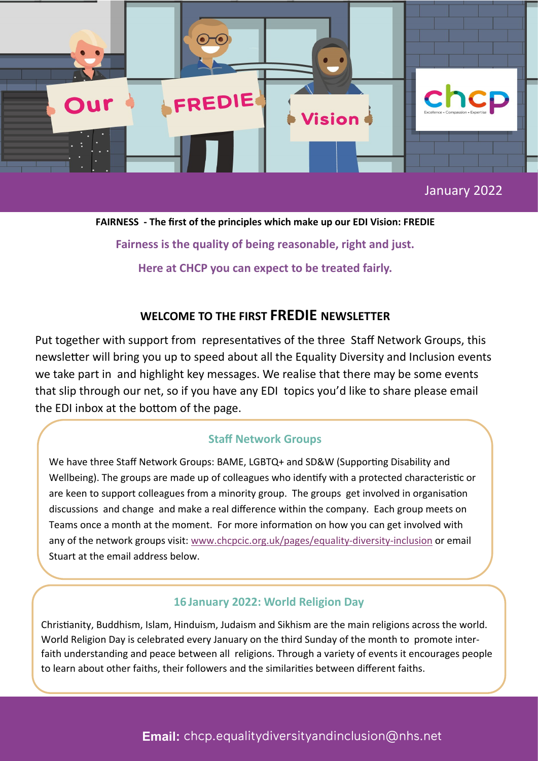

**FAIRNESS - The first of the principles which make up our EDI Vision: FREDIE Fairness is the quality of being reasonable, right and just. Here at CHCP you can expect to be treated fairly.**

# **WELCOME TO THE FIRST FREDIE NEWSLETTER**

Put together with support from representatives of the three Staff Network Groups, this newsletter will bring you up to speed about all the Equality Diversity and Inclusion events we take part in and highlight key messages. We realise that there may be some events that slip through our net, so if you have any EDI topics you'd like to share please email the EDI inbox at the bottom of the page.

#### **Staff Network Groups**

We have three Staff Network Groups: BAME, LGBTQ+ and SD&W (Supporting Disability and Wellbeing). The groups are made up of colleagues who identify with a protected characteristic or are keen to support colleagues from a minority group. The groups get involved in organisation discussions and change and make a real difference within the company. Each group meets on Teams once a month at the moment. For more information on how you can get involved with any of the network groups visit: [www.chcpcic.org.uk/pages/equality](http://www.chcpcic.org.uk/pages/equality-diversity-inclusion)-diversity-inclusion or email Stuart at the email address below.

# **16 January 2022: World Religion Day**

Christianity, Buddhism, Islam, Hinduism, Judaism and Sikhism are the main religions across the world. World Religion Day is celebrated every January on the third Sunday of the month to promote interfaith understanding and peace between all religions. Through a variety of events it encourages people to learn about other faiths, their followers and the similarities between different faiths.